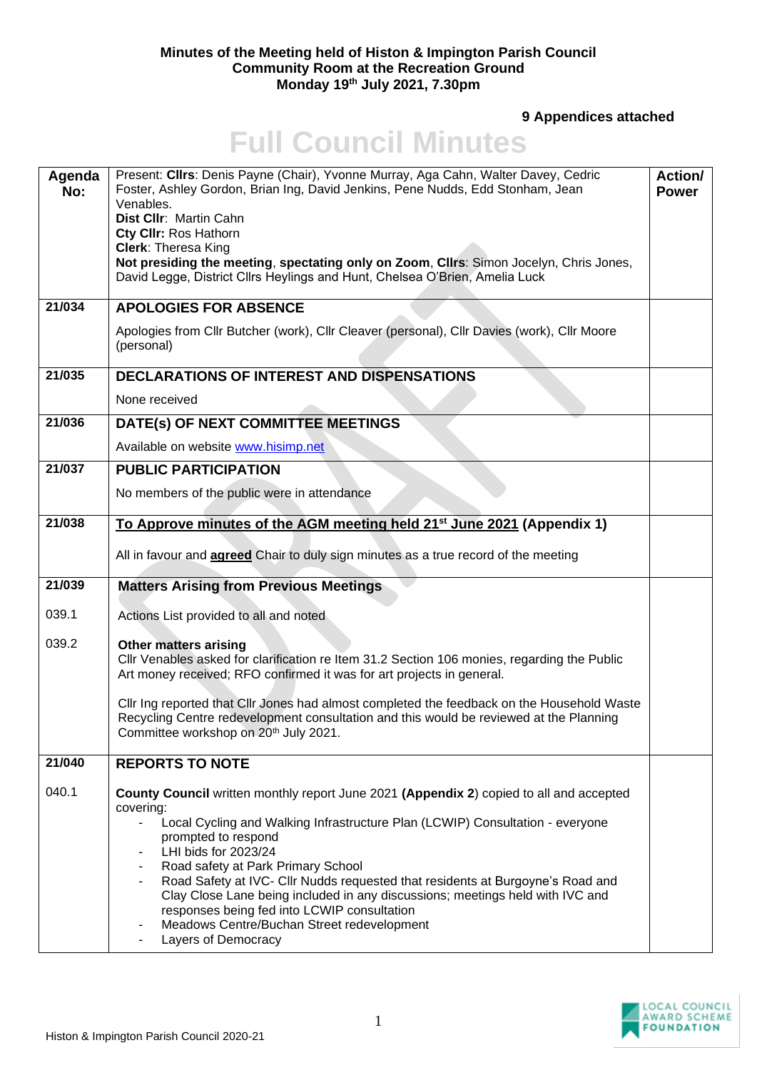## **Minutes of the Meeting held of Histon & Impington Parish Council Community Room at the Recreation Ground Monday 19th July 2021, 7.30pm**

**9 Appendices attached** 

## **Full Council Minutes**

| Agenda<br>No: | Present: Clirs: Denis Payne (Chair), Yvonne Murray, Aga Cahn, Walter Davey, Cedric<br>Foster, Ashley Gordon, Brian Ing, David Jenkins, Pene Nudds, Edd Stonham, Jean<br>Venables.<br>Dist Cllr: Martin Cahn<br>Cty CIIr: Ros Hathorn<br><b>Clerk: Theresa King</b><br>Not presiding the meeting, spectating only on Zoom, Cllrs: Simon Jocelyn, Chris Jones,<br>David Legge, District Cllrs Heylings and Hunt, Chelsea O'Brien, Amelia Luck                                                                                                                                                        | <b>Action/</b><br><b>Power</b> |
|---------------|----------------------------------------------------------------------------------------------------------------------------------------------------------------------------------------------------------------------------------------------------------------------------------------------------------------------------------------------------------------------------------------------------------------------------------------------------------------------------------------------------------------------------------------------------------------------------------------------------|--------------------------------|
| 21/034        | <b>APOLOGIES FOR ABSENCE</b>                                                                                                                                                                                                                                                                                                                                                                                                                                                                                                                                                                       |                                |
|               | Apologies from Cllr Butcher (work), Cllr Cleaver (personal), Cllr Davies (work), Cllr Moore<br>(personal)                                                                                                                                                                                                                                                                                                                                                                                                                                                                                          |                                |
| 21/035        | DECLARATIONS OF INTEREST AND DISPENSATIONS                                                                                                                                                                                                                                                                                                                                                                                                                                                                                                                                                         |                                |
|               | None received                                                                                                                                                                                                                                                                                                                                                                                                                                                                                                                                                                                      |                                |
| 21/036        | DATE(s) OF NEXT COMMITTEE MEETINGS                                                                                                                                                                                                                                                                                                                                                                                                                                                                                                                                                                 |                                |
|               | Available on website www.hisimp.net                                                                                                                                                                                                                                                                                                                                                                                                                                                                                                                                                                |                                |
| 21/037        | <b>PUBLIC PARTICIPATION</b>                                                                                                                                                                                                                                                                                                                                                                                                                                                                                                                                                                        |                                |
|               | No members of the public were in attendance                                                                                                                                                                                                                                                                                                                                                                                                                                                                                                                                                        |                                |
| 21/038        | To Approve minutes of the AGM meeting held 21 <sup>st</sup> June 2021 (Appendix 1)                                                                                                                                                                                                                                                                                                                                                                                                                                                                                                                 |                                |
|               | All in favour and <b>agreed</b> Chair to duly sign minutes as a true record of the meeting                                                                                                                                                                                                                                                                                                                                                                                                                                                                                                         |                                |
| 21/039        | <b>Matters Arising from Previous Meetings</b>                                                                                                                                                                                                                                                                                                                                                                                                                                                                                                                                                      |                                |
| 039.1         | Actions List provided to all and noted                                                                                                                                                                                                                                                                                                                                                                                                                                                                                                                                                             |                                |
| 039.2         | <b>Other matters arising</b><br>Cllr Venables asked for clarification re Item 31.2 Section 106 monies, regarding the Public<br>Art money received; RFO confirmed it was for art projects in general.                                                                                                                                                                                                                                                                                                                                                                                               |                                |
|               | Cllr Ing reported that Cllr Jones had almost completed the feedback on the Household Waste<br>Recycling Centre redevelopment consultation and this would be reviewed at the Planning<br>Committee workshop on 20 <sup>th</sup> July 2021.                                                                                                                                                                                                                                                                                                                                                          |                                |
| 21/040        | <b>REPORTS TO NOTE</b>                                                                                                                                                                                                                                                                                                                                                                                                                                                                                                                                                                             |                                |
| 040.1         | County Council written monthly report June 2021 (Appendix 2) copied to all and accepted<br>covering:<br>Local Cycling and Walking Infrastructure Plan (LCWIP) Consultation - everyone<br>$\blacksquare$<br>prompted to respond<br>LHI bids for 2023/24<br>۰<br>Road safety at Park Primary School<br>۰<br>Road Safety at IVC- Cllr Nudds requested that residents at Burgoyne's Road and<br>۰<br>Clay Close Lane being included in any discussions; meetings held with IVC and<br>responses being fed into LCWIP consultation<br>Meadows Centre/Buchan Street redevelopment<br>Layers of Democracy |                                |

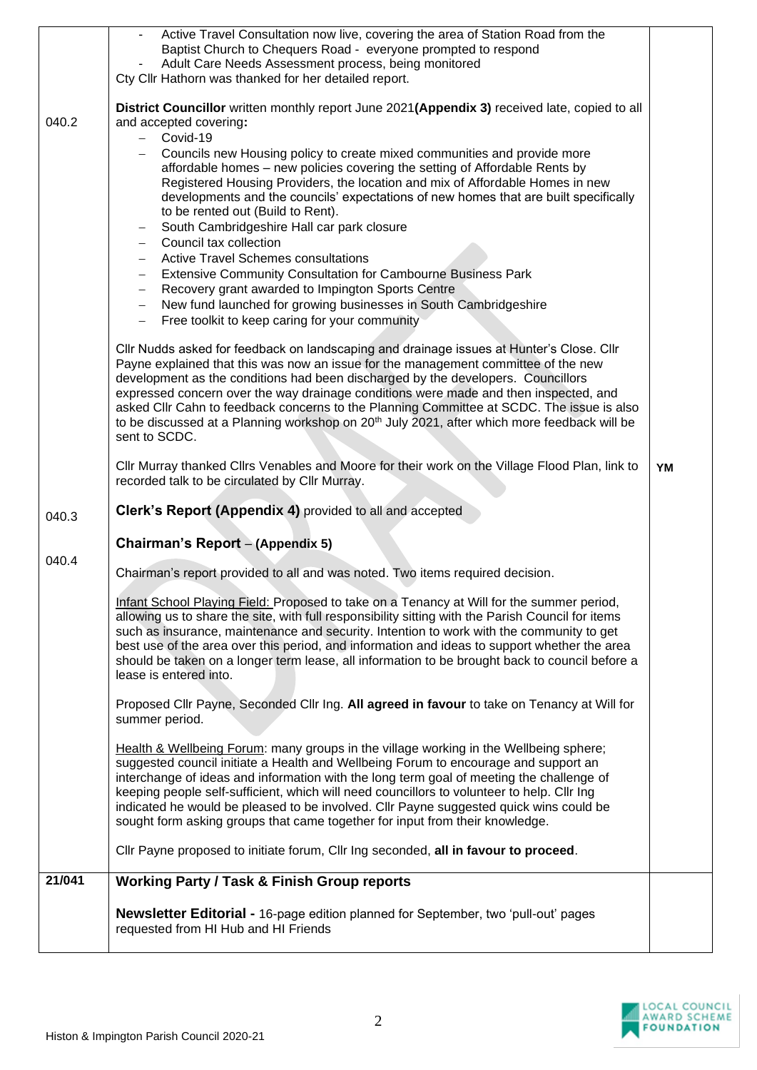|        | Active Travel Consultation now live, covering the area of Station Road from the<br>Baptist Church to Chequers Road - everyone prompted to respond                                                    |    |
|--------|------------------------------------------------------------------------------------------------------------------------------------------------------------------------------------------------------|----|
|        | Adult Care Needs Assessment process, being monitored                                                                                                                                                 |    |
|        | Cty Cllr Hathorn was thanked for her detailed report.                                                                                                                                                |    |
|        |                                                                                                                                                                                                      |    |
|        | District Councillor written monthly report June 2021(Appendix 3) received late, copied to all                                                                                                        |    |
| 040.2  | and accepted covering:                                                                                                                                                                               |    |
|        | Covid-19<br>$\overline{\phantom{0}}$                                                                                                                                                                 |    |
|        | Councils new Housing policy to create mixed communities and provide more                                                                                                                             |    |
|        | affordable homes - new policies covering the setting of Affordable Rents by<br>Registered Housing Providers, the location and mix of Affordable Homes in new                                         |    |
|        | developments and the councils' expectations of new homes that are built specifically                                                                                                                 |    |
|        | to be rented out (Build to Rent).                                                                                                                                                                    |    |
|        | South Cambridgeshire Hall car park closure                                                                                                                                                           |    |
|        | Council tax collection                                                                                                                                                                               |    |
|        | <b>Active Travel Schemes consultations</b>                                                                                                                                                           |    |
|        | <b>Extensive Community Consultation for Cambourne Business Park</b><br>$\qquad \qquad -$                                                                                                             |    |
|        | Recovery grant awarded to Impington Sports Centre<br>$\overline{\phantom{0}}$                                                                                                                        |    |
|        | New fund launched for growing businesses in South Cambridgeshire                                                                                                                                     |    |
|        | Free toolkit to keep caring for your community                                                                                                                                                       |    |
|        | Cllr Nudds asked for feedback on landscaping and drainage issues at Hunter's Close. Cllr                                                                                                             |    |
|        | Payne explained that this was now an issue for the management committee of the new                                                                                                                   |    |
|        | development as the conditions had been discharged by the developers. Councillors                                                                                                                     |    |
|        | expressed concern over the way drainage conditions were made and then inspected, and                                                                                                                 |    |
|        | asked CIIr Cahn to feedback concerns to the Planning Committee at SCDC. The issue is also<br>to be discussed at a Planning workshop on 20 <sup>th</sup> July 2021, after which more feedback will be |    |
|        | sent to SCDC.                                                                                                                                                                                        |    |
|        |                                                                                                                                                                                                      |    |
|        | Cllr Murray thanked Cllrs Venables and Moore for their work on the Village Flood Plan, link to                                                                                                       | YM |
|        | recorded talk to be circulated by Cllr Murray.                                                                                                                                                       |    |
|        |                                                                                                                                                                                                      |    |
|        |                                                                                                                                                                                                      |    |
| 040.3  | Clerk's Report (Appendix 4) provided to all and accepted                                                                                                                                             |    |
|        | Chairman's Report - (Appendix 5)                                                                                                                                                                     |    |
| 040.4  |                                                                                                                                                                                                      |    |
|        | Chairman's report provided to all and was noted. Two items required decision.                                                                                                                        |    |
|        |                                                                                                                                                                                                      |    |
|        | Infant School Playing Field: Proposed to take on a Tenancy at Will for the summer period,                                                                                                            |    |
|        | allowing us to share the site, with full responsibility sitting with the Parish Council for items<br>such as insurance, maintenance and security. Intention to work with the community to get        |    |
|        | best use of the area over this period, and information and ideas to support whether the area                                                                                                         |    |
|        | should be taken on a longer term lease, all information to be brought back to council before a                                                                                                       |    |
|        | lease is entered into.                                                                                                                                                                               |    |
|        |                                                                                                                                                                                                      |    |
|        | Proposed Cllr Payne, Seconded Cllr Ing. All agreed in favour to take on Tenancy at Will for<br>summer period.                                                                                        |    |
|        |                                                                                                                                                                                                      |    |
|        | Health & Wellbeing Forum: many groups in the village working in the Wellbeing sphere;                                                                                                                |    |
|        | suggested council initiate a Health and Wellbeing Forum to encourage and support an                                                                                                                  |    |
|        | interchange of ideas and information with the long term goal of meeting the challenge of                                                                                                             |    |
|        | keeping people self-sufficient, which will need councillors to volunteer to help. Cllr Ing                                                                                                           |    |
|        | indicated he would be pleased to be involved. Cllr Payne suggested quick wins could be<br>sought form asking groups that came together for input from their knowledge.                               |    |
|        |                                                                                                                                                                                                      |    |
|        | Cllr Payne proposed to initiate forum, Cllr Ing seconded, all in favour to proceed.                                                                                                                  |    |
| 21/041 | <b>Working Party / Task &amp; Finish Group reports</b>                                                                                                                                               |    |
|        |                                                                                                                                                                                                      |    |
|        | <b>Newsletter Editorial -</b> 16-page edition planned for September, two 'pull-out' pages                                                                                                            |    |
|        | requested from HI Hub and HI Friends                                                                                                                                                                 |    |

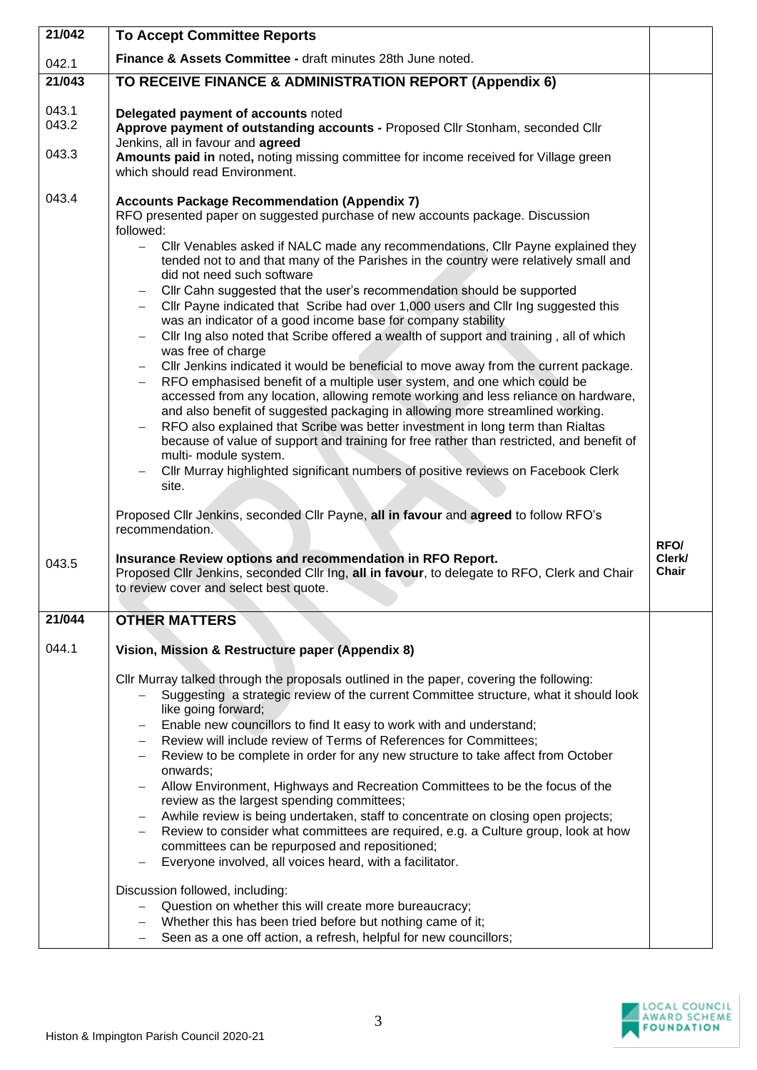| 21/042                  | <b>To Accept Committee Reports</b>                                                                                                                                                                                                                                                                                                                                                                                                                                                                                                                                                                                                                                                                                                                                                                                                                                                                                                                                                                                                                                                                                                                                                                                                                                                                                                                                                                                                                                                                           |                         |
|-------------------------|--------------------------------------------------------------------------------------------------------------------------------------------------------------------------------------------------------------------------------------------------------------------------------------------------------------------------------------------------------------------------------------------------------------------------------------------------------------------------------------------------------------------------------------------------------------------------------------------------------------------------------------------------------------------------------------------------------------------------------------------------------------------------------------------------------------------------------------------------------------------------------------------------------------------------------------------------------------------------------------------------------------------------------------------------------------------------------------------------------------------------------------------------------------------------------------------------------------------------------------------------------------------------------------------------------------------------------------------------------------------------------------------------------------------------------------------------------------------------------------------------------------|-------------------------|
| 042.1                   | Finance & Assets Committee - draft minutes 28th June noted.                                                                                                                                                                                                                                                                                                                                                                                                                                                                                                                                                                                                                                                                                                                                                                                                                                                                                                                                                                                                                                                                                                                                                                                                                                                                                                                                                                                                                                                  |                         |
| 21/043                  | TO RECEIVE FINANCE & ADMINISTRATION REPORT (Appendix 6)                                                                                                                                                                                                                                                                                                                                                                                                                                                                                                                                                                                                                                                                                                                                                                                                                                                                                                                                                                                                                                                                                                                                                                                                                                                                                                                                                                                                                                                      |                         |
| 043.1<br>043.2<br>043.3 | Delegated payment of accounts noted<br>Approve payment of outstanding accounts - Proposed Cllr Stonham, seconded Cllr<br>Jenkins, all in favour and agreed<br>Amounts paid in noted, noting missing committee for income received for Village green<br>which should read Environment.                                                                                                                                                                                                                                                                                                                                                                                                                                                                                                                                                                                                                                                                                                                                                                                                                                                                                                                                                                                                                                                                                                                                                                                                                        |                         |
| 043.4                   | <b>Accounts Package Recommendation (Appendix 7)</b><br>RFO presented paper on suggested purchase of new accounts package. Discussion<br>followed:<br>Cllr Venables asked if NALC made any recommendations, Cllr Payne explained they<br>$\overline{\phantom{0}}$<br>tended not to and that many of the Parishes in the country were relatively small and<br>did not need such software<br>Cllr Cahn suggested that the user's recommendation should be supported<br>Cllr Payne indicated that Scribe had over 1,000 users and Cllr Ing suggested this<br>$\overline{\phantom{0}}$<br>was an indicator of a good income base for company stability<br>Cllr Ing also noted that Scribe offered a wealth of support and training, all of which<br>$\qquad \qquad -$<br>was free of charge<br>CIIr Jenkins indicated it would be beneficial to move away from the current package.<br>$\qquad \qquad -$<br>RFO emphasised benefit of a multiple user system, and one which could be<br>$\overline{\phantom{0}}$<br>accessed from any location, allowing remote working and less reliance on hardware,<br>and also benefit of suggested packaging in allowing more streamlined working.<br>RFO also explained that Scribe was better investment in long term than Rialtas<br>because of value of support and training for free rather than restricted, and benefit of<br>multi- module system.<br>Cllr Murray highlighted significant numbers of positive reviews on Facebook Clerk<br>$\qquad \qquad -$<br>site. |                         |
|                         | Proposed Cllr Jenkins, seconded Cllr Payne, all in favour and agreed to follow RFO's<br>recommendation.                                                                                                                                                                                                                                                                                                                                                                                                                                                                                                                                                                                                                                                                                                                                                                                                                                                                                                                                                                                                                                                                                                                                                                                                                                                                                                                                                                                                      |                         |
| 043.5                   | Insurance Review options and recommendation in RFO Report.<br>Proposed Cllr Jenkins, seconded Cllr Ing, all in favour, to delegate to RFO, Clerk and Chair<br>to review cover and select best quote.                                                                                                                                                                                                                                                                                                                                                                                                                                                                                                                                                                                                                                                                                                                                                                                                                                                                                                                                                                                                                                                                                                                                                                                                                                                                                                         | RFO/<br>Clerk/<br>Chair |
| 21/044                  | <b>OTHER MATTERS</b>                                                                                                                                                                                                                                                                                                                                                                                                                                                                                                                                                                                                                                                                                                                                                                                                                                                                                                                                                                                                                                                                                                                                                                                                                                                                                                                                                                                                                                                                                         |                         |
| 044.1                   | Vision, Mission & Restructure paper (Appendix 8)                                                                                                                                                                                                                                                                                                                                                                                                                                                                                                                                                                                                                                                                                                                                                                                                                                                                                                                                                                                                                                                                                                                                                                                                                                                                                                                                                                                                                                                             |                         |
|                         | Cllr Murray talked through the proposals outlined in the paper, covering the following:<br>Suggesting a strategic review of the current Committee structure, what it should look<br>like going forward;<br>Enable new councillors to find It easy to work with and understand;<br>Review will include review of Terms of References for Committees;<br>$\overline{\phantom{m}}$<br>Review to be complete in order for any new structure to take affect from October<br>onwards;<br>Allow Environment, Highways and Recreation Committees to be the focus of the<br>review as the largest spending committees;<br>Awhile review is being undertaken, staff to concentrate on closing open projects;<br>$\qquad \qquad -$<br>Review to consider what committees are required, e.g. a Culture group, look at how<br>$\overline{\phantom{m}}$<br>committees can be repurposed and repositioned;<br>Everyone involved, all voices heard, with a facilitator.                                                                                                                                                                                                                                                                                                                                                                                                                                                                                                                                                      |                         |
|                         | Discussion followed, including:<br>Question on whether this will create more bureaucracy;<br>Whether this has been tried before but nothing came of it;<br>Seen as a one off action, a refresh, helpful for new councillors;<br>$\overline{\phantom{m}}$                                                                                                                                                                                                                                                                                                                                                                                                                                                                                                                                                                                                                                                                                                                                                                                                                                                                                                                                                                                                                                                                                                                                                                                                                                                     |                         |

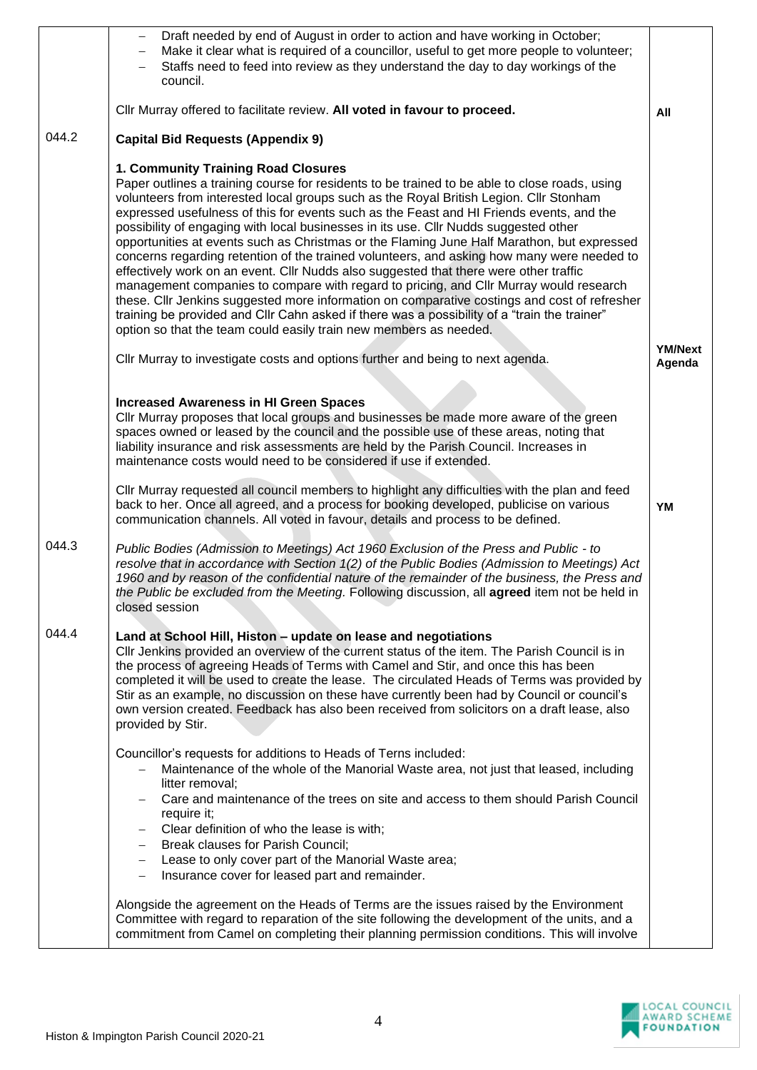|       | Draft needed by end of August in order to action and have working in October;<br>Make it clear what is required of a councillor, useful to get more people to volunteer;<br>Staffs need to feed into review as they understand the day to day workings of the<br>council.<br>Cllr Murray offered to facilitate review. All voted in favour to proceed.                                                                                                                                                                                                                                                                                                                                                                                                                                                                                                                                                                                                                                                                                                                 |                          |
|-------|------------------------------------------------------------------------------------------------------------------------------------------------------------------------------------------------------------------------------------------------------------------------------------------------------------------------------------------------------------------------------------------------------------------------------------------------------------------------------------------------------------------------------------------------------------------------------------------------------------------------------------------------------------------------------------------------------------------------------------------------------------------------------------------------------------------------------------------------------------------------------------------------------------------------------------------------------------------------------------------------------------------------------------------------------------------------|--------------------------|
| 044.2 | <b>Capital Bid Requests (Appendix 9)</b>                                                                                                                                                                                                                                                                                                                                                                                                                                                                                                                                                                                                                                                                                                                                                                                                                                                                                                                                                                                                                               | All                      |
|       | 1. Community Training Road Closures<br>Paper outlines a training course for residents to be trained to be able to close roads, using<br>volunteers from interested local groups such as the Royal British Legion. Cllr Stonham<br>expressed usefulness of this for events such as the Feast and HI Friends events, and the<br>possibility of engaging with local businesses in its use. Cllr Nudds suggested other<br>opportunities at events such as Christmas or the Flaming June Half Marathon, but expressed<br>concerns regarding retention of the trained volunteers, and asking how many were needed to<br>effectively work on an event. Cllr Nudds also suggested that there were other traffic<br>management companies to compare with regard to pricing, and Cllr Murray would research<br>these. Cllr Jenkins suggested more information on comparative costings and cost of refresher<br>training be provided and CIIr Cahn asked if there was a possibility of a "train the trainer"<br>option so that the team could easily train new members as needed. |                          |
|       | Cllr Murray to investigate costs and options further and being to next agenda.                                                                                                                                                                                                                                                                                                                                                                                                                                                                                                                                                                                                                                                                                                                                                                                                                                                                                                                                                                                         | <b>YM/Next</b><br>Agenda |
|       | <b>Increased Awareness in HI Green Spaces</b><br>Cllr Murray proposes that local groups and businesses be made more aware of the green<br>spaces owned or leased by the council and the possible use of these areas, noting that<br>liability insurance and risk assessments are held by the Parish Council. Increases in<br>maintenance costs would need to be considered if use if extended.<br>Cllr Murray requested all council members to highlight any difficulties with the plan and feed                                                                                                                                                                                                                                                                                                                                                                                                                                                                                                                                                                       |                          |
|       | back to her. Once all agreed, and a process for booking developed, publicise on various<br>communication channels. All voted in favour, details and process to be defined.                                                                                                                                                                                                                                                                                                                                                                                                                                                                                                                                                                                                                                                                                                                                                                                                                                                                                             | YM                       |
| 044.3 | Public Bodies (Admission to Meetings) Act 1960 Exclusion of the Press and Public - to<br>resolve that in accordance with Section 1(2) of the Public Bodies (Admission to Meetings) Act<br>1960 and by reason of the confidential nature of the remainder of the business, the Press and<br>the Public be excluded from the Meeting. Following discussion, all agreed item not be held in<br>closed session                                                                                                                                                                                                                                                                                                                                                                                                                                                                                                                                                                                                                                                             |                          |
| 044.4 | Land at School Hill, Histon - update on lease and negotiations<br>CIIr Jenkins provided an overview of the current status of the item. The Parish Council is in<br>the process of agreeing Heads of Terms with Camel and Stir, and once this has been<br>completed it will be used to create the lease. The circulated Heads of Terms was provided by<br>Stir as an example, no discussion on these have currently been had by Council or council's<br>own version created. Feedback has also been received from solicitors on a draft lease, also<br>provided by Stir.                                                                                                                                                                                                                                                                                                                                                                                                                                                                                                |                          |
|       | Councillor's requests for additions to Heads of Terns included:<br>Maintenance of the whole of the Manorial Waste area, not just that leased, including<br>litter removal;<br>Care and maintenance of the trees on site and access to them should Parish Council<br>require it;<br>Clear definition of who the lease is with;<br>$\overline{\phantom{m}}$<br>Break clauses for Parish Council;<br>$\qquad \qquad -$<br>Lease to only cover part of the Manorial Waste area;<br>$\overline{\phantom{m}}$<br>Insurance cover for leased part and remainder.<br>$\overline{\phantom{m}}$                                                                                                                                                                                                                                                                                                                                                                                                                                                                                  |                          |
|       | Alongside the agreement on the Heads of Terms are the issues raised by the Environment<br>Committee with regard to reparation of the site following the development of the units, and a<br>commitment from Camel on completing their planning permission conditions. This will involve                                                                                                                                                                                                                                                                                                                                                                                                                                                                                                                                                                                                                                                                                                                                                                                 |                          |